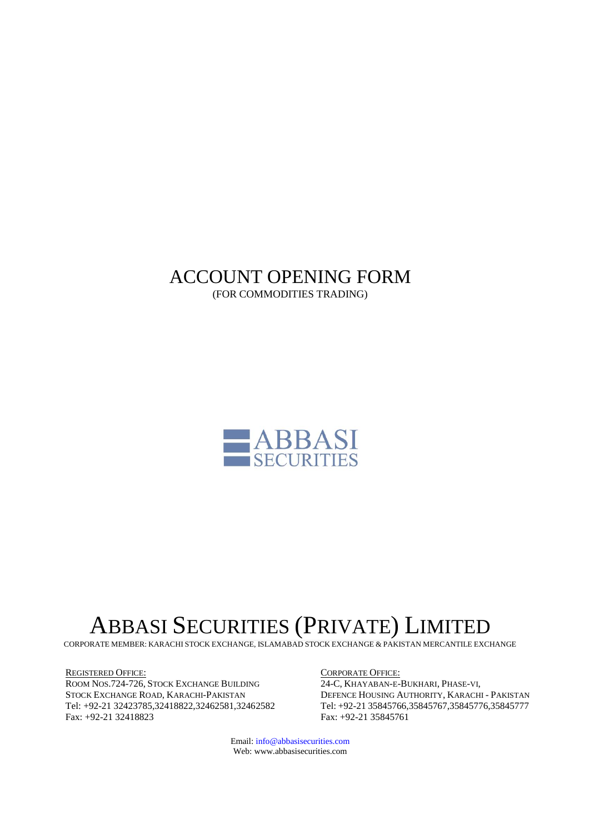# ACCOUNT OPENING FORM (FOR COMMODITIES TRADING)



# ABBASI SECURITIES (PRIVATE) LIMITED

CORPORATE MEMBER: KARACHI STOCK EXCHANGE, ISLAMABAD STOCK EXCHANGE & PAKISTAN MERCANTILE EXCHANGE

REGISTERED OFFICE: ROOM NOS.724-726, STOCK EXCHANGE BUILDING STOCK EXCHANGE ROAD, KARACHI-PAKISTAN Tel: +92-21 32423785,32418822,32462581,32462582 Fax: +92-21 32418823

CORPORATE OFFICE: 24-C, KHAYABAN-E-BUKHARI, PHASE-VI, DEFENCE HOUSING AUTHORITY, KARACHI - PAKISTAN Tel: +92-21 35845766,35845767,35845776,35845777 Fax: +92-21 35845761

Email: info@abbasisecurities.com Web: www.abbasisecurities.com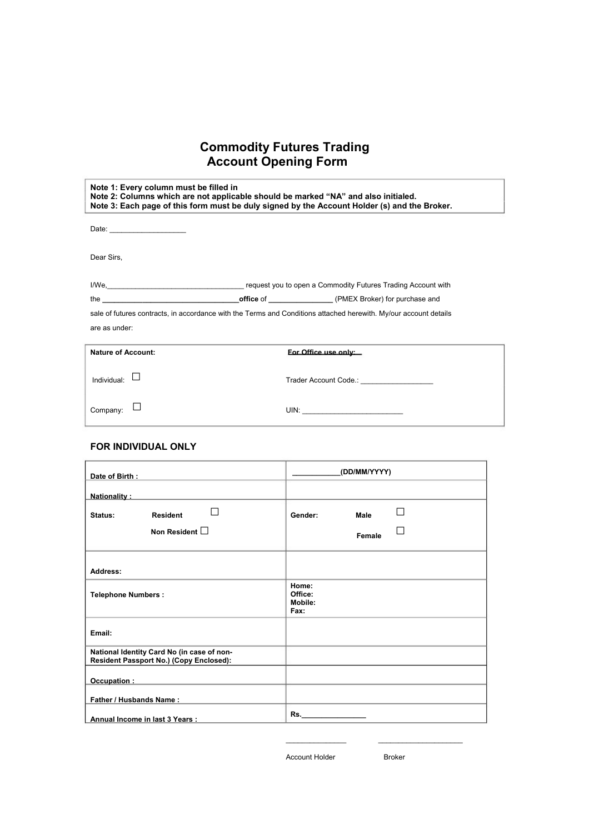# **Commodity Futures Trading Account Opening Form**

| Note 1: Every column must be filled in | Note 2: Columns which are not applicable should be marked "NA" and also initialed.<br>Note 3: Each page of this form must be duly signed by the Account Holder (s) and the Broker. |  |
|----------------------------------------|------------------------------------------------------------------------------------------------------------------------------------------------------------------------------------|--|
|                                        |                                                                                                                                                                                    |  |
| Dear Sirs,                             |                                                                                                                                                                                    |  |
|                                        | I/We, Marian Marian Marian Marian Marian Marian Marian Marian Marian Marian Marian Marian Marian Marian Marian M                                                                   |  |
|                                        |                                                                                                                                                                                    |  |
|                                        | sale of futures contracts, in accordance with the Terms and Conditions attached herewith. My/our account details                                                                   |  |
| are as under:                          |                                                                                                                                                                                    |  |
| <b>Nature of Account:</b>              | Eor Office use only:                                                                                                                                                               |  |
| Individual:                            | Trader Account Code.: Trader Account Code.:                                                                                                                                        |  |
| Company:                               | UIN:                                                                                                                                                                               |  |

# **FOR INDIVIDUAL ONLY**

| Date of Birth:                                                                                                                     | (DD/MM/YYYY)                        |  |
|------------------------------------------------------------------------------------------------------------------------------------|-------------------------------------|--|
| Nationality:                                                                                                                       |                                     |  |
| <b>Resident</b><br>Status:                                                                                                         | Male<br>Gender:                     |  |
| Non Resident $\square$                                                                                                             | Female                              |  |
| Address:                                                                                                                           |                                     |  |
| <b>Telephone Numbers:</b>                                                                                                          | Home:<br>Office:<br>Mobile:<br>Fax: |  |
| Email:                                                                                                                             |                                     |  |
| National Identity Card No (in case of non-<br>Resident Passport No.) (Copy Enclosed):                                              |                                     |  |
| Occupation:<br><u> 1989 - John Harry Harry Harry Harry Harry Harry Harry Harry Harry Harry Harry Harry Harry Harry Harry Harry</u> |                                     |  |
| <b>Father / Husbands Name:</b>                                                                                                     |                                     |  |
| Annual Income in last 3 Years :                                                                                                    |                                     |  |

Account Holder

 $\mathcal{L}_\text{max}$  and  $\mathcal{L}_\text{max}$  and  $\mathcal{L}_\text{max}$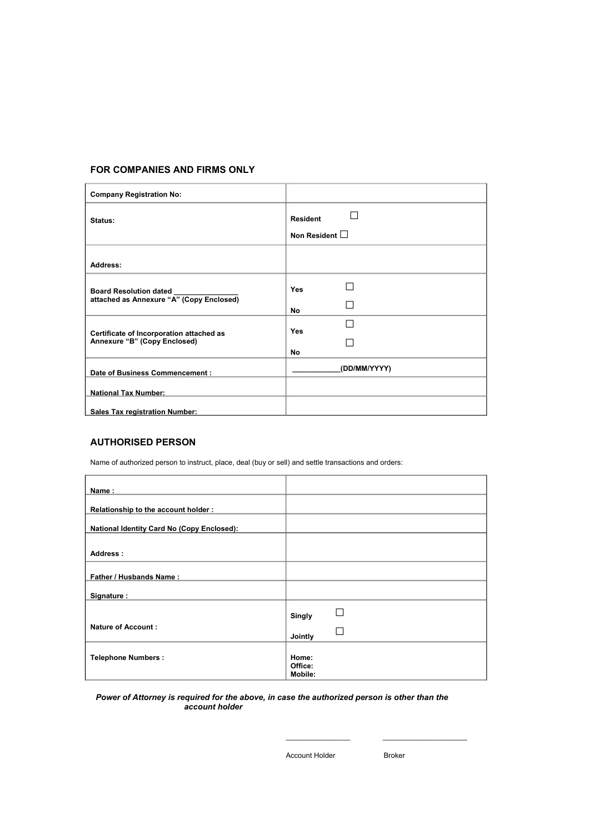## **FOR COMPANIES AND FIRMS ONLY**

| <b>Company Registration No:</b>          |                                        |  |
|------------------------------------------|----------------------------------------|--|
| Status:                                  | <b>Resident</b><br>Non Resident $\Box$ |  |
| Address:                                 |                                        |  |
| <b>Board Resolution dated</b>            | <b>Yes</b>                             |  |
| attached as Annexure "A" (Copy Enclosed) | No                                     |  |
| Certificate of Incorporation attached as | <b>Yes</b>                             |  |
| Annexure "B" (Copy Enclosed)             | No.                                    |  |
| Date of Business Commencement :          | (DD/MM/YYYY)                           |  |
| <b>National Tax Number:</b>              |                                        |  |
| <b>Sales Tax registration Number:</b>    |                                        |  |

# **AUTHORISED PERSON**

Name of authorized person to instruct, place, deal (buy or sell) and settle transactions and orders:

| Name:                                             |                             |
|---------------------------------------------------|-----------------------------|
| Relationship to the account holder:               |                             |
| <b>National Identity Card No (Copy Enclosed):</b> |                             |
| Address:                                          |                             |
| Father / Husbands Name:                           |                             |
| Signature :                                       |                             |
|                                                   | Singly                      |
| <b>Nature of Account:</b>                         | Jointly                     |
| <b>Telephone Numbers:</b>                         | Home:<br>Office:<br>Mobile: |

#### *Power of Attorney is required for the above, in case the authorized person is other than the account holder*

Account Holder

 $\frac{1}{2}$  ,  $\frac{1}{2}$  ,  $\frac{1}{2}$  ,  $\frac{1}{2}$  ,  $\frac{1}{2}$  ,  $\frac{1}{2}$  ,  $\frac{1}{2}$  ,  $\frac{1}{2}$  ,  $\frac{1}{2}$  ,  $\frac{1}{2}$ 

Broker

 $\frac{1}{2}$  ,  $\frac{1}{2}$  ,  $\frac{1}{2}$  ,  $\frac{1}{2}$  ,  $\frac{1}{2}$  ,  $\frac{1}{2}$  ,  $\frac{1}{2}$  ,  $\frac{1}{2}$  ,  $\frac{1}{2}$  ,  $\frac{1}{2}$  ,  $\frac{1}{2}$  ,  $\frac{1}{2}$  ,  $\frac{1}{2}$  ,  $\frac{1}{2}$  ,  $\frac{1}{2}$  ,  $\frac{1}{2}$  ,  $\frac{1}{2}$  ,  $\frac{1}{2}$  ,  $\frac{1$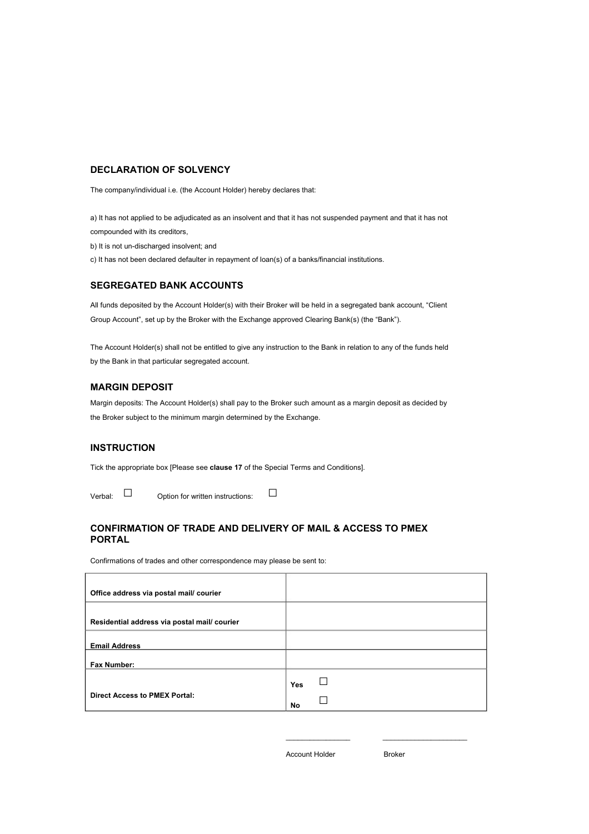### **DECLARATION OF SOLVENCY**

The company/individual i.e. (the Account Holder) hereby declares that:

a) It has not applied to be adjudicated as an insolvent and that it has not suspended payment and that it has not compounded with its creditors,

b) It is not un-discharged insolvent; and

c) It has not been declared defaulter in repayment of loan(s) of a banks/financial institutions.

#### **SEGREGATED BANK ACCOUNTS**

All funds deposited by the Account Holder(s) with their Broker will be held in a segregated bank account, "Client Group Account", set up by the Broker with the Exchange approved Clearing Bank(s) (the "Bank").

The Account Holder(s) shall not be entitled to give any instruction to the Bank in relation to any of the funds held by the Bank in that particular segregated account.

# **MARGIN DEPOSIT**

Margin deposits: The Account Holder(s) shall pay to the Broker such amount as a margin deposit as decided by the Broker subject to the minimum margin determined by the Exchange.

#### **INSTRUCTION**

Tick the appropriate box [Please see **clause 17** of the Special Terms and Conditions].

 $V$ erbal:  $\Box$  Option for written instructions:  $\Box$ 

# **CONFIRMATION OF TRADE AND DELIVERY OF MAIL & ACCESS TO PMEX PORTAL**

Confirmations of trades and other correspondence may please be sent to:

| Office address via postal mail/courier       |     |  |
|----------------------------------------------|-----|--|
| Residential address via postal mail/ courier |     |  |
| <b>Email Address</b>                         |     |  |
| Fax Number:                                  |     |  |
|                                              | Yes |  |
| <b>Direct Access to PMEX Portal:</b>         | No  |  |

Account Holder

 $\frac{1}{2}$  ,  $\frac{1}{2}$  ,  $\frac{1}{2}$  ,  $\frac{1}{2}$  ,  $\frac{1}{2}$  ,  $\frac{1}{2}$  ,  $\frac{1}{2}$  ,  $\frac{1}{2}$  ,  $\frac{1}{2}$  ,  $\frac{1}{2}$ 

Broker

 $\frac{1}{2}$  ,  $\frac{1}{2}$  ,  $\frac{1}{2}$  ,  $\frac{1}{2}$  ,  $\frac{1}{2}$  ,  $\frac{1}{2}$  ,  $\frac{1}{2}$  ,  $\frac{1}{2}$  ,  $\frac{1}{2}$  ,  $\frac{1}{2}$  ,  $\frac{1}{2}$  ,  $\frac{1}{2}$  ,  $\frac{1}{2}$  ,  $\frac{1}{2}$  ,  $\frac{1}{2}$  ,  $\frac{1}{2}$  ,  $\frac{1}{2}$  ,  $\frac{1}{2}$  ,  $\frac{1$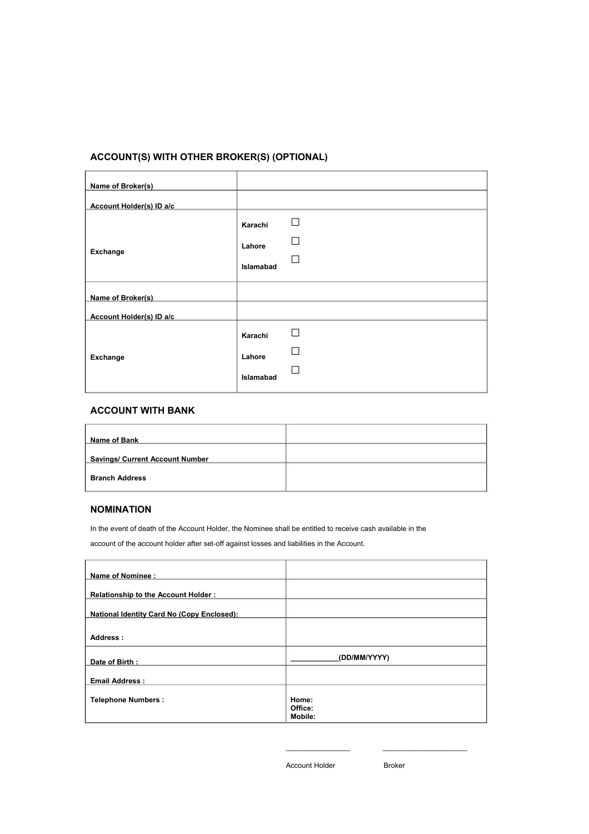# **ACCOUNT(S) WITH OTHER BROKER(S) (OPTIONAL)**

| Name of Broker(s)        |           |   |
|--------------------------|-----------|---|
| Account Holder(s) ID a/c |           |   |
|                          | Karachi   | п |
|                          | Lahore    |   |
| Exchange                 |           |   |
|                          | Islamabad |   |
| Name of Broker(s)        |           |   |
| Account Holder(s) ID a/c |           |   |
| Exchange                 | Karachi   | □ |
|                          | Lahore    |   |
|                          | Islamabad |   |
|                          |           |   |

# **ACCOUNT WITH BANK**

| Name of Bank                           |  |
|----------------------------------------|--|
| <b>Savings/ Current Account Number</b> |  |
| <b>Branch Address</b>                  |  |

# **NOMINATION**

In the event of death of the Account Holder, the Nominee shall be entitled to receive cash available in the account of the account holder after set-off against losses and liabilities in the Account.

| Name of Nominee :                                 |                             |
|---------------------------------------------------|-----------------------------|
| Relationship to the Account Holder:               |                             |
| <b>National Identity Card No (Copy Enclosed):</b> |                             |
| Address:                                          |                             |
| Date of Birth:                                    | (DD/MM/YYYY)                |
| <b>Email Address:</b>                             |                             |
| <b>Telephone Numbers:</b>                         | Home:<br>Office:<br>Mobile: |

Account Holder

 $\overline{\phantom{a}}$ 

Broker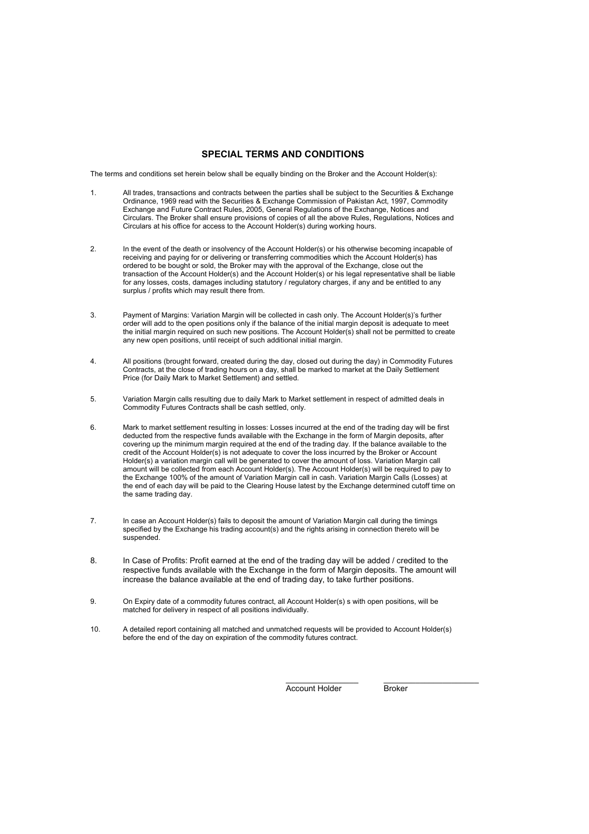#### **SPECIAL TERMS AND CONDITIONS**

The terms and conditions set herein below shall be equally binding on the Broker and the Account Holder(s):

- 1. All trades, transactions and contracts between the parties shall be subject to the Securities & Exchange Ordinance, 1969 read with the Securities & Exchange Commission of Pakistan Act, 1997, Commodity Exchange and Future Contract Rules, 2005, General Regulations of the Exchange, Notices and Circulars. The Broker shall ensure provisions of copies of all the above Rules, Regulations, Notices and Circulars at his office for access to the Account Holder(s) during working hours.
- In the event of the death or insolvency of the Account Holder(s) or his otherwise becoming incapable of receiving and paying for or delivering or transferring commodities which the Account Holder(s) has ordered to be bought or sold, the Broker may with the approval of the Exchange, close out the transaction of the Account Holder(s) and the Account Holder(s) or his legal representative shall be liable for any losses, costs, damages including statutory / regulatory charges, if any and be entitled to any surplus / profits which may result there from. 2.
- Payment of Margins: Variation Margin will be collected in cash only. The Account Holder(s)'s further order will add to the open positions only if the balance of the initial margin deposit is adequate to meet the initial margin required on such new positions. The Account Holder(s) shall not be permitted to create any new open positions, until receipt of such additional initial margin. 3.
- All positions (brought forward, created during the day, closed out during the day) in Commodity Futures Contracts, at the close of trading hours on a day, shall be marked to market at the Daily Settlement Price (for Daily Mark to Market Settlement) and settled. 4.
- Variation Margin calls resulting due to daily Mark to Market settlement in respect of admitted deals in Commodity Futures Contracts shall be cash settled, only. 5.
- Mark to market settlement resulting in losses: Losses incurred at the end of the trading day will be first deducted from the respective funds available with the Exchange in the form of Margin deposits, after covering up the minimum margin required at the end of the trading day. If the balance available to the credit of the Account Holder(s) is not adequate to cover the loss incurred by the Broker or Account Holder(s) a variation margin call will be generated to cover the amount of loss. Variation Margin call amount will be collected from each Account Holder(s). The Account Holder(s) will be required to pay to the Exchange 100% of the amount of Variation Margin call in cash. Variation Margin Calls (Losses) at the end of each day will be paid to the Clearing House latest by the Exchange determined cutoff time on the same trading day. 6.
- In case an Account Holder(s) fails to deposit the amount of Variation Margin call during the timings specified by the Exchange his trading account(s) and the rights arising in connection thereto will be suspended. 7.
- 8. In Case of Profits: Profit earned at the end of the trading day will be added / credited to the respective funds available with the Exchange in the form of Margin deposits. The amount will increase the balance available at the end of trading day, to take further positions.
- On Expiry date of a commodity futures contract, all Account Holder(s) s with open positions, will be matched for delivery in respect of all positions individually. 9.
- A detailed report containing all matched and unmatched requests will be provided to Account Holder(s) before the end of the day on expiration of the commodity futures contract. 10.

Account Holder

 $\_$ 

**Broker** 

 $\mathcal{L}_\text{max}$  , where  $\mathcal{L}_\text{max}$  , we have the set of  $\mathcal{L}_\text{max}$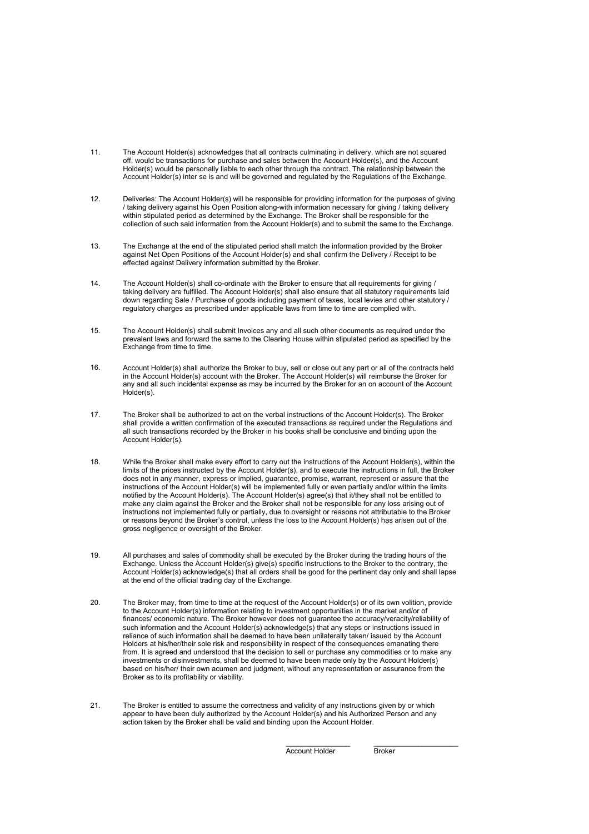- 11. The Account Holder(s) acknowledges that all contracts culminating in delivery, which are not squared off, would be transactions for purchase and sales between the Account Holder(s), and the Account Holder(s) would be personally liable to each other through the contract. The relationship between the Account Holder(s) inter se is and will be governed and regulated by the Regulations of the Exchange.
- Deliveries: The Account Holder(s) will be responsible for providing information for the purposes of giving / taking delivery against his Open Position along-with information necessary for giving / taking delivery within stipulated period as determined by the Exchange. The Broker shall be responsible for the collection of such said information from the Account Holder(s) and to submit the same to the Exchange. 12.
- The Exchange at the end of the stipulated period shall match the information provided by the Broker against Net Open Positions of the Account Holder(s) and shall confirm the Delivery / Receipt to be effected against Delivery information submitted by the Broker. 13.
- The Account Holder(s) shall co-ordinate with the Broker to ensure that all requirements for giving / taking delivery are fulfilled. The Account Holder(s) shall also ensure that all statutory requirements laid down regarding Sale / Purchase of goods including payment of taxes, local levies and other statutory / regulatory charges as prescribed under applicable laws from time to time are complied with. 14.
- The Account Holder(s) shall submit Invoices any and all such other documents as required under the prevalent laws and forward the same to the Clearing House within stipulated period as specified by the Exchange from time to time. 15.
- Account Holder(s) shall authorize the Broker to buy, sell or close out any part or all of the contracts held in the Account Holder(s) account with the Broker. The Account Holder(s) will reimburse the Broker for any and all such incidental expense as may be incurred by the Broker for an on account of the Account Holder(s). 16.
- The Broker shall be authorized to act on the verbal instructions of the Account Holder(s). The Broker shall provide a written confirmation of the executed transactions as required under the Regulations and all such transactions recorded by the Broker in his books shall be conclusive and binding upon the Account Holder(s). 17.
- While the Broker shall make every effort to carry out the instructions of the Account Holder(s), within the limits of the prices instructed by the Account Holder(s), and to execute the instructions in full, the Broker does not in any manner, express or implied, guarantee, promise, warrant, represent or assure that the instructions of the Account Holder(s) will be implemented fully or even partially and/or within the limits notified by the Account Holder(s). The Account Holder(s) agree(s) that it/they shall not be entitled to make any claim against the Broker and the Broker shall not be responsible for any loss arising out of instructions not implemented fully or partially, due to oversight or reasons not attributable to the Broker or reasons beyond the Broker's control, unless the loss to the Account Holder(s) has arisen out of the gross negligence or oversight of the Broker. 18.
- All purchases and sales of commodity shall be executed by the Broker during the trading hours of the Exchange. Unless the Account Holder(s) give(s) specific instructions to the Broker to the contrary, the Account Holder(s) acknowledge(s) that all orders shall be good for the pertinent day only and shall lapse at the end of the official trading day of the Exchange. 19.
- The Broker may, from time to time at the request of the Account Holder(s) or of its own volition, provide to the Account Holder(s) information relating to investment opportunities in the market and/or of finances/ economic nature. The Broker however does not guarantee the accuracy/veracity/reliability of such information and the Account Holder(s) acknowledge(s) that any steps or instructions issued in reliance of such information shall be deemed to have been unilaterally taken/ issued by the Account Holders at his/her/their sole risk and responsibility in respect of the consequences emanating there from. It is agreed and understood that the decision to sell or purchase any commodities or to make any investments or disinvestments, shall be deemed to have been made only by the Account Holder(s) based on his/her/ their own acumen and judgment, without any representation or assurance from the Broker as to its profitability or viability. 20.
- The Broker is entitled to assume the correctness and validity of any instructions given by or which appear to have been duly authorized by the Account Holder(s) and his Authorized Person and any action taken by the Broker shall be valid and binding upon the Account Holder. 21.

 $\overline{\phantom{a}}$ Account Holder

**Broker**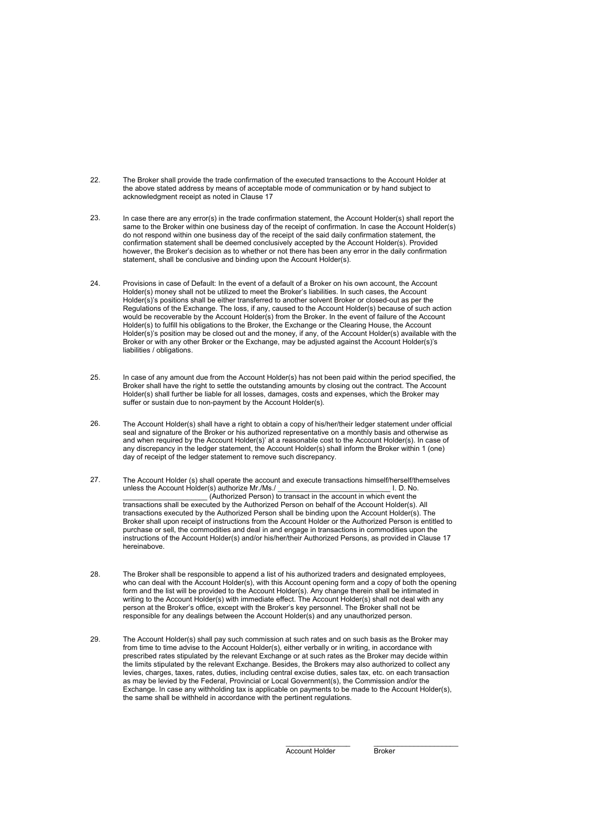- 22. The Broker shall provide the trade confirmation of the executed transactions to the Account Holder at the above stated address by means of acceptable mode of communication or by hand subject to acknowledgment receipt as noted in Clause 17
- In case there are any error(s) in the trade confirmation statement, the Account Holder(s) shall report the same to the Broker within one business day of the receipt of confirmation. In case the Account Holder(s) do not respond within one business day of the receipt of the said daily confirmation statement, the confirmation statement shall be deemed conclusively accepted by the Account Holder(s). Provided however, the Broker's decision as to whether or not there has been any error in the daily confirmation statement, shall be conclusive and binding upon the Account Holder(s). 23.
- Provisions in case of Default: In the event of a default of a Broker on his own account, the Account Holder(s) money shall not be utilized to meet the Broker's liabilities. In such cases, the Account Holder(s)'s positions shall be either transferred to another solvent Broker or closed-out as per the Regulations of the Exchange. The loss, if any, caused to the Account Holder(s) because of such action would be recoverable by the Account Holder(s) from the Broker. In the event of failure of the Account Holder(s) to fulfill his obligations to the Broker, the Exchange or the Clearing House, the Account Holder(s)'s position may be closed out and the money, if any, of the Account Holder(s) available with the Broker or with any other Broker or the Exchange, may be adjusted against the Account Holder(s)'s liabilities / obligations. 24.
- In case of any amount due from the Account Holder(s) has not been paid within the period specified, the Broker shall have the right to settle the outstanding amounts by closing out the contract. The Account Holder(s) shall further be liable for all losses, damages, costs and expenses, which the Broker may suffer or sustain due to non-payment by the Account Holder(s). 25.
- The Account Holder(s) shall have a right to obtain a copy of his/her/their ledger statement under official seal and signature of the Broker or his authorized representative on a monthly basis and otherwise as and when required by the Account Holder(s)' at a reasonable cost to the Account Holder(s). In case of any discrepancy in the ledger statement, the Account Holder(s) shall inform the Broker within 1 (one) day of receipt of the ledger statement to remove such discrepancy. 26.
- The Account Holder (s) shall operate the account and execute transactions himself/herself/themselves unless the Account Holder(s) authorize Mr./Ms./ \_\_\_\_\_\_\_\_\_\_\_\_\_\_\_\_\_\_\_\_\_\_\_\_\_\_\_\_ I. D. No. \_\_\_\_\_\_\_\_\_\_\_\_\_\_\_\_\_\_\_\_\_ (Authorized Person) to transact in the account in which event the transactions shall be executed by the Authorized Person on behalf of the Account Holder(s). All transactions executed by the Authorized Person shall be binding upon the Account Holder(s). The Broker shall upon receipt of instructions from the Account Holder or the Authorized Person is entitled to purchase or sell, the commodities and deal in and engage in transactions in commodities upon the instructions of the Account Holder(s) and/or his/her/their Authorized Persons, as provided in Clause 17 hereinabove. 27.
- The Broker shall be responsible to append a list of his authorized traders and designated employees, who can deal with the Account Holder(s), with this Account opening form and a copy of both the opening form and the list will be provided to the Account Holder(s). Any change therein shall be intimated in writing to the Account Holder(s) with immediate effect. The Account Holder(s) shall not deal with any person at the Broker's office, except with the Broker's key personnel. The Broker shall not be responsible for any dealings between the Account Holder(s) and any unauthorized person. 28.
- The Account Holder(s) shall pay such commission at such rates and on such basis as the Broker may from time to time advise to the Account Holder(s), either verbally or in writing, in accordance with prescribed rates stipulated by the relevant Exchange or at such rates as the Broker may decide within the limits stipulated by the relevant Exchange. Besides, the Brokers may also authorized to collect any levies, charges, taxes, rates, duties, including central excise duties, sales tax, etc. on each transaction as may be levied by the Federal, Provincial or Local Government(s), the Commission and/or the Exchange. In case any withholding tax is applicable on payments to be made to the Account Holder(s), the same shall be withheld in accordance with the pertinent regulations. 29.

 $\overline{\phantom{a}}$ Account Holder

**Broker**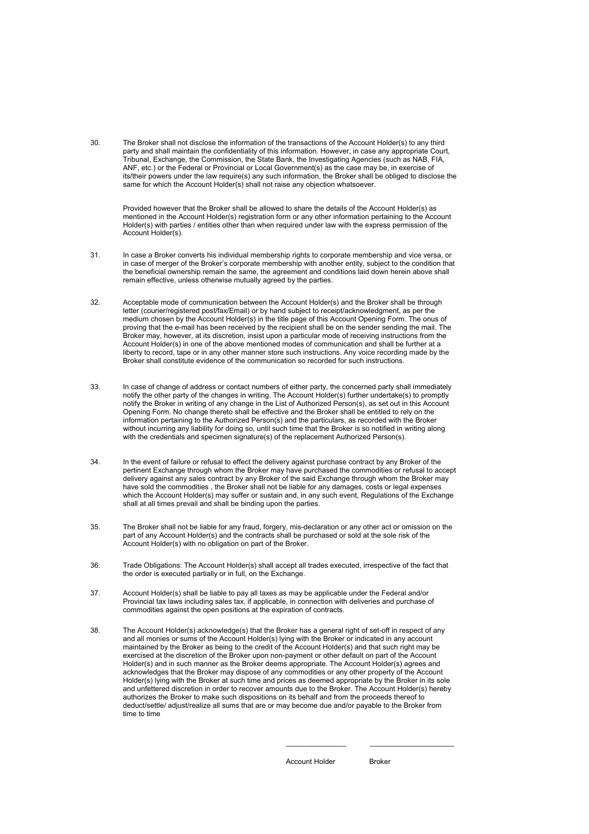30. The Broker shall not disclose the information of the transactions of the Account Holder(s) to any third party and shall maintain the confidentiality of this information. However, in case any appropriate Court, Tribunal, Exchange, the Commission, the State Bank, the Investigating Agencies (such as NAB, FIA, ANF, etc.) or the Federal or Provincial or Local Government(s) as the case may be, in exercise of its/their powers under the law require(s) any such information, the Broker shall be obliged to disclose the same for which the Account Holder(s) shall not raise any objection whatsoever.

Provided however that the Broker shall be allowed to share the details of the Account Holder(s) as mentioned in the Account Holder(s) registration form or any other information pertaining to the Account Holder(s) with parties / entities other than when required under law with the express permission of the Account Holder(s).

- 31. In case a Broker converts his individual membership rights to corporate membership and vice versa, or in case of merger of the Broker's corporate membership with another entity, subject to the condition that the beneficial ownership remain the same, the agreement and conditions laid down herein above shall remain effective, unless otherwise mutually agreed by the parties.
- Acceptable mode of communication between the Account Holder(s) and the Broker shall be through letter (courier/registered post/fax/Email) or by hand subject to receipt/acknowledgment, as per the medium chosen by the Account Holder(s) in the title page of this Account Opening Form. The onus of proving that the e-mail has been received by the recipient shall be on the sender sending the mail. The Broker may, however, at its discretion, insist upon a particular mode of receiving instructions from the Account Holder(s) in one of the above mentioned modes of communication and shall be further at a liberty to record, tape or in any other manner store such instructions. Any voice recording made by the Broker shall constitute evidence of the communication so recorded for such instructions. 32.
- In case of change of address or contact numbers of either party, the concerned party shall immediately notify the other party of the changes in writing. The Account Holder(s) further undertake(s) to promptly notify the Broker in writing of any change in the List of Authorized Person(s), as set out in this Account Opening Form. No change thereto shall be effective and the Broker shall be entitled to rely on the information pertaining to the Authorized Person(s) and the particulars, as recorded with the Broker without incurring any liability for doing so, until such time that the Broker is so notified in writing along with the credentials and specimen signature(s) of the replacement Authorized Person(s). 33.
- In the event of failure or refusal to effect the delivery against purchase contract by any Broker of the pertinent Exchange through whom the Broker may have purchased the commodities or refusal to accept delivery against any sales contract by any Broker of the said Exchange through whom the Broker may have sold the commodities , the Broker shall not be liable for any damages, costs or legal expenses which the Account Holder(s) may suffer or sustain and, in any such event, Regulations of the Exchange shall at all times prevail and shall be binding upon the parties. 34.
- The Broker shall not be liable for any fraud, forgery, mis-declaration or any other act or omission on the part of any Account Holder(s) and the contracts shall be purchased or sold at the sole risk of the Account Holder(s) with no obligation on part of the Broker. 35.
- Trade Obligations: The Account Holder(s) shall accept all trades executed, irrespective of the fact that the order is executed partially or in full, on the Exchange. 36.
- Account Holder(s) shall be liable to pay all taxes as may be applicable under the Federal and/or Provincial tax laws including sales tax, if applicable, in connection with deliveries and purchase of commodities against the open positions at the expiration of contracts. 37.
- The Account Holder(s) acknowledge(s) that the Broker has a general right of set-off in respect of any and all monies or sums of the Account Holder(s) lying with the Broker or indicated in any account maintained by the Broker as being to the credit of the Account Holder(s) and that such right may be exercised at the discretion of the Broker upon non-payment or other default on part of the Account Holder(s) and in such manner as the Broker deems appropriate. The Account Holder(s) agrees and acknowledges that the Broker may dispose of any commodities or any other property of the Account Holder(s) lying with the Broker at such time and prices as deemed appropriate by the Broker in its sole and unfettered discretion in order to recover amounts due to the Broker. The Account Holder(s) hereby authorizes the Broker to make such dispositions on its behalf and from the proceeds thereof to deduct/settle/ adjust/realize all sums that are or may become due and/or payable to the Broker from time to time 38.

Account Holder

Broker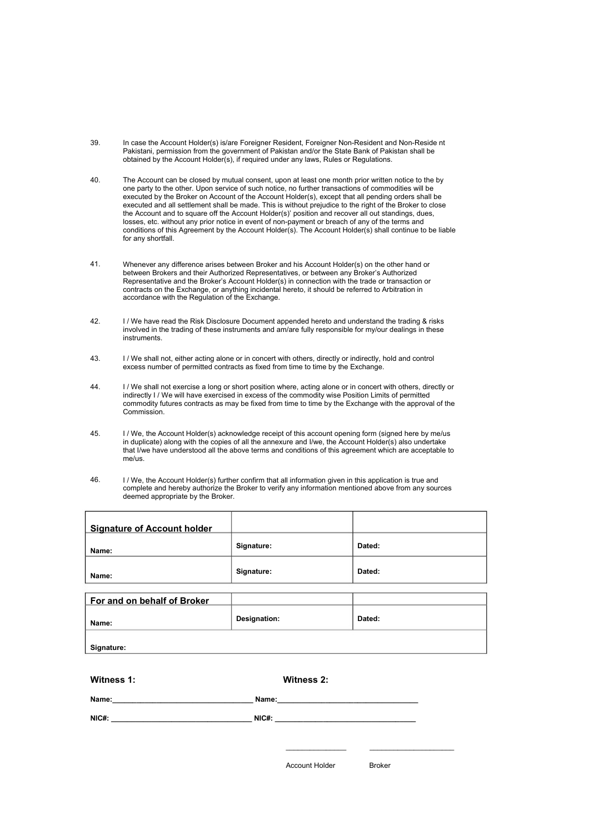- 39. In case the Account Holder(s) is/are Foreigner Resident, Foreigner Non-Resident and Non-Reside nt Pakistani, permission from the government of Pakistan and/or the State Bank of Pakistan shall be obtained by the Account Holder(s), if required under any laws, Rules or Regulations.
- The Account can be closed by mutual consent, upon at least one month prior written notice to the by one party to the other. Upon service of such notice, no further transactions of commodities will be executed by the Broker on Account of the Account Holder(s), except that all pending orders shall be executed and all settlement shall be made. This is without prejudice to the right of the Broker to close the Account and to square off the Account Holder(s)' position and recover all out standings, dues, losses, etc. without any prior notice in event of non-payment or breach of any of the terms and conditions of this Agreement by the Account Holder(s). The Account Holder(s) shall continue to be liable for any shortfall. 40.
- Whenever any difference arises between Broker and his Account Holder(s) on the other hand or between Brokers and their Authorized Representatives, or between any Broker's Authorized Representative and the Broker's Account Holder(s) in connection with the trade or transaction or contracts on the Exchange, or anything incidental hereto, it should be referred to Arbitration in accordance with the Regulation of the Exchange. 41.
- I / We have read the Risk Disclosure Document appended hereto and understand the trading & risks involved in the trading of these instruments and am/are fully responsible for my/our dealings in these instruments. 42.
- I / We shall not, either acting alone or in concert with others, directly or indirectly, hold and control excess number of permitted contracts as fixed from time to time by the Exchange. 43.
- I / We shall not exercise a long or short position where, acting alone or in concert with others, directly or indirectly I / We will have exercised in excess of the commodity wise Position Limits of permitted commodity futures contracts as may be fixed from time to time by the Exchange with the approval of the Commission. 44.
- I / We, the Account Holder(s) acknowledge receipt of this account opening form (signed here by me/us in duplicate) along with the copies of all the annexure and I/we, the Account Holder(s) also undertake that I/we have understood all the above terms and conditions of this agreement which are acceptable to me/us. 45.
- I / We, the Account Holder(s) further confirm that all information given in this application is true and complete and hereby authorize the Broker to verify any information mentioned above from any sources deemed appropriate by the Broker. 46.

| <b>Signature of Account holder</b>                                                                                                                                                                                            |                                                                                                                                                                                                                                |        |
|-------------------------------------------------------------------------------------------------------------------------------------------------------------------------------------------------------------------------------|--------------------------------------------------------------------------------------------------------------------------------------------------------------------------------------------------------------------------------|--------|
| Name:                                                                                                                                                                                                                         | Signature:                                                                                                                                                                                                                     | Dated: |
| Name:                                                                                                                                                                                                                         | Signature:                                                                                                                                                                                                                     | Dated: |
|                                                                                                                                                                                                                               |                                                                                                                                                                                                                                |        |
| For and on behalf of Broker                                                                                                                                                                                                   |                                                                                                                                                                                                                                |        |
| Name:                                                                                                                                                                                                                         | Designation:                                                                                                                                                                                                                   | Dated: |
| Signature:                                                                                                                                                                                                                    |                                                                                                                                                                                                                                |        |
|                                                                                                                                                                                                                               |                                                                                                                                                                                                                                |        |
| Witness 1:                                                                                                                                                                                                                    | Witness 2:                                                                                                                                                                                                                     |        |
| Name: Name:                                                                                                                                                                                                                   | Name: We have a state of the state of the state of the state of the state of the state of the state of the state of the state of the state of the state of the state of the state of the state of the state of the state of th |        |
| NIC#: NIC#: NIC#: NIC#: NIC#: NIC#: NIC#: NIC#: NIC#: NIC#: NIC#: NIC#: NIC#: NIC#: NIC#: NIC#: NIC#: NIC#: NIC#: NIC#: NIC#: NIC#: NIC#: NIC#: NIC#: NIC#: NIC#: NIC#: NIC#: NIC#: NIC#: NIC#: NIC#: NIC#: NIC#: NIC#: NIC#: |                                                                                                                                                                                                                                |        |
|                                                                                                                                                                                                                               |                                                                                                                                                                                                                                |        |

Account Holder

 $\mathcal{L}_\text{max}$  and  $\mathcal{L}_\text{max}$  and  $\mathcal{L}_\text{max}$ 

Broker